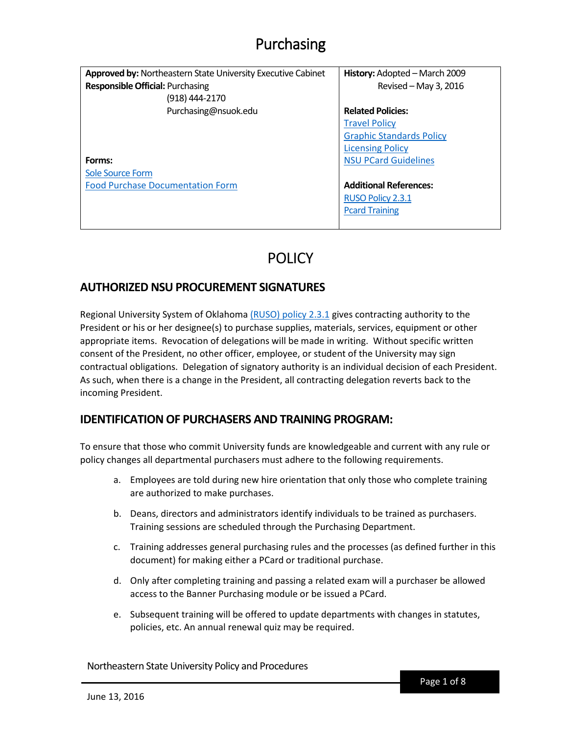| <b>Approved by: Northeastern State University Executive Cabinet</b> | History: Adopted - March 2009   |
|---------------------------------------------------------------------|---------------------------------|
| <b>Responsible Official: Purchasing</b>                             | Revised - May 3, 2016           |
| (918) 444-2170                                                      |                                 |
| Purchasing@nsuok.edu                                                | <b>Related Policies:</b>        |
|                                                                     | <b>Travel Policy</b>            |
|                                                                     | <b>Graphic Standards Policy</b> |
|                                                                     | <b>Licensing Policy</b>         |
| Forms:                                                              | <b>NSU PCard Guidelines</b>     |
| <b>Sole Source Form</b>                                             |                                 |
| <b>Food Purchase Documentation Form</b>                             | <b>Additional References:</b>   |
|                                                                     | RUSO Policy 2.3.1               |
|                                                                     | <b>Pcard Training</b>           |
|                                                                     |                                 |

## **POLICY**

### **AUTHORIZED NSU PROCUREMENT SIGNATURES**

Regional University System of Oklahoma (RUSO) [policy 2.3.1](http://www.ruso.edu/LinkClick.aspx?fileticket=qf8g7kfox6Y%3d&tabid=849) gives contracting authority to the President or his or her designee(s) to purchase supplies, materials, services, equipment or other appropriate items. Revocation of delegations will be made in writing. Without specific written consent of the President, no other officer, employee, or student of the University may sign contractual obligations. Delegation of signatory authority is an individual decision of each President. As such, when there is a change in the President, all contracting delegation reverts back to the incoming President.

### **IDENTIFICATION OF PURCHASERS AND TRAINING PROGRAM:**

To ensure that those who commit University funds are knowledgeable and current with any rule or policy changes all departmental purchasers must adhere to the following requirements.

- a. Employees are told during new hire orientation that only those who complete training are authorized to make purchases.
- b. Deans, directors and administrators identify individuals to be trained as purchasers. Training sessions are scheduled through the Purchasing Department.
- c. Training addresses general purchasing rules and the processes (as defined further in this document) for making either a PCard or traditional purchase.
- d. Only after completing training and passing a related exam will a purchaser be allowed access to the Banner Purchasing module or be issued a PCard.
- e. Subsequent training will be offered to update departments with changes in statutes, policies, etc. An annual renewal quiz may be required.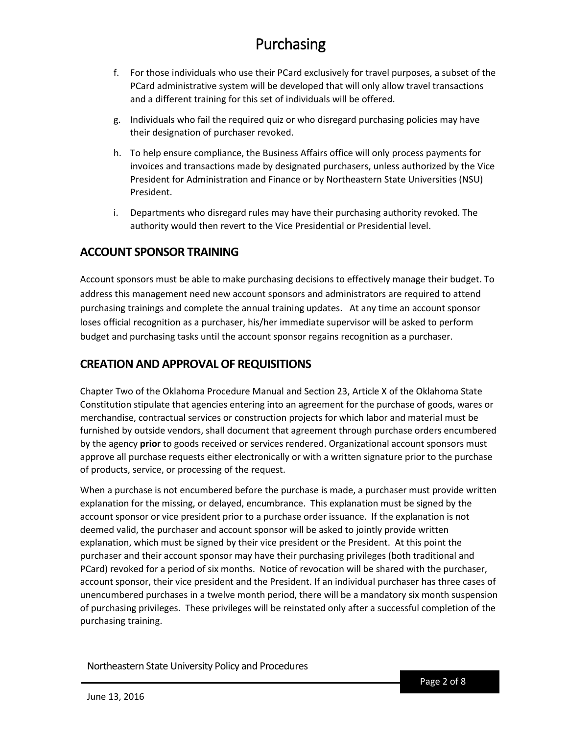- f. For those individuals who use their PCard exclusively for travel purposes, a subset of the PCard administrative system will be developed that will only allow travel transactions and a different training for this set of individuals will be offered.
- g. Individuals who fail the required quiz or who disregard purchasing policies may have their designation of purchaser revoked.
- h. To help ensure compliance, the Business Affairs office will only process payments for invoices and transactions made by designated purchasers, unless authorized by the Vice President for Administration and Finance or by Northeastern State Universities (NSU) President.
- i. Departments who disregard rules may have their purchasing authority revoked. The authority would then revert to the Vice Presidential or Presidential level.

### **ACCOUNT SPONSOR TRAINING**

Account sponsors must be able to make purchasing decisions to effectively manage their budget. To address this management need new account sponsors and administrators are required to attend purchasing trainings and complete the annual training updates. At any time an account sponsor loses official recognition as a purchaser, his/her immediate supervisor will be asked to perform budget and purchasing tasks until the account sponsor regains recognition as a purchaser.

### **CREATION AND APPROVAL OF REQUISITIONS**

Chapter Two of the Oklahoma Procedure Manual and Section 23, Article X of the Oklahoma State Constitution stipulate that agencies entering into an agreement for the purchase of goods, wares or merchandise, contractual services or construction projects for which labor and material must be furnished by outside vendors, shall document that agreement through purchase orders encumbered by the agency **prior** to goods received or services rendered. Organizational account sponsors must approve all purchase requests either electronically or with a written signature prior to the purchase of products, service, or processing of the request.

When a purchase is not encumbered before the purchase is made, a purchaser must provide written explanation for the missing, or delayed, encumbrance. This explanation must be signed by the account sponsor or vice president prior to a purchase order issuance. If the explanation is not deemed valid, the purchaser and account sponsor will be asked to jointly provide written explanation, which must be signed by their vice president or the President. At this point the purchaser and their account sponsor may have their purchasing privileges (both traditional and PCard) revoked for a period of six months. Notice of revocation will be shared with the purchaser, account sponsor, their vice president and the President. If an individual purchaser has three cases of unencumbered purchases in a twelve month period, there will be a mandatory six month suspension of purchasing privileges. These privileges will be reinstated only after a successful completion of the purchasing training.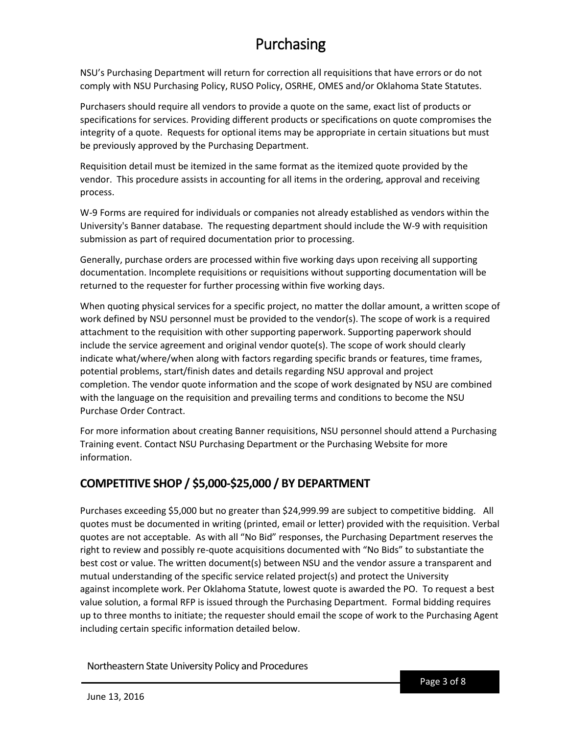NSU's Purchasing Department will return for correction all requisitions that have errors or do not comply with NSU Purchasing Policy, RUSO Policy, OSRHE, OMES and/or Oklahoma State Statutes.

Purchasers should require all vendors to provide a quote on the same, exact list of products or specifications for services. Providing different products or specifications on quote compromises the integrity of a quote. Requests for optional items may be appropriate in certain situations but must be previously approved by the Purchasing Department.

Requisition detail must be itemized in the same format as the itemized quote provided by the vendor. This procedure assists in accounting for all items in the ordering, approval and receiving process.

W-9 Forms are required for individuals or companies not already established as vendors within the University's Banner database. The requesting department should include the W-9 with requisition submission as part of required documentation prior to processing.

Generally, purchase orders are processed within five working days upon receiving all supporting documentation. Incomplete requisitions or requisitions without supporting documentation will be returned to the requester for further processing within five working days.

When quoting physical services for a specific project, no matter the dollar amount, a written scope of work defined by NSU personnel must be provided to the vendor(s). The scope of work is a required attachment to the requisition with other supporting paperwork. Supporting paperwork should include the service agreement and original vendor quote(s). The scope of work should clearly indicate what/where/when along with factors regarding specific brands or features, time frames, potential problems, start/finish dates and details regarding NSU approval and project completion. The vendor quote information and the scope of work designated by NSU are combined with the language on the requisition and prevailing terms and conditions to become the NSU Purchase Order Contract.

For more information about creating Banner requisitions, NSU personnel should attend a Purchasing Training event. Contact NSU Purchasing Department or the Purchasing Website for more information.

## **COMPETITIVE SHOP / \$5,000-\$25,000 / BY DEPARTMENT**

Purchases exceeding \$5,000 but no greater than \$24,999.99 are subject to competitive bidding. All quotes must be documented in writing (printed, email or letter) provided with the requisition. Verbal quotes are not acceptable. As with all "No Bid" responses, the Purchasing Department reserves the right to review and possibly re-quote acquisitions documented with "No Bids" to substantiate the best cost or value. The written document(s) between NSU and the vendor assure a transparent and mutual understanding of the specific service related project(s) and protect the University against incomplete work. Per Oklahoma Statute, lowest quote is awarded the PO. To request a best value solution, a formal RFP is issued through the Purchasing Department. Formal bidding requires up to three months to initiate; the requester should email the scope of work to the Purchasing Agent including certain specific information detailed below.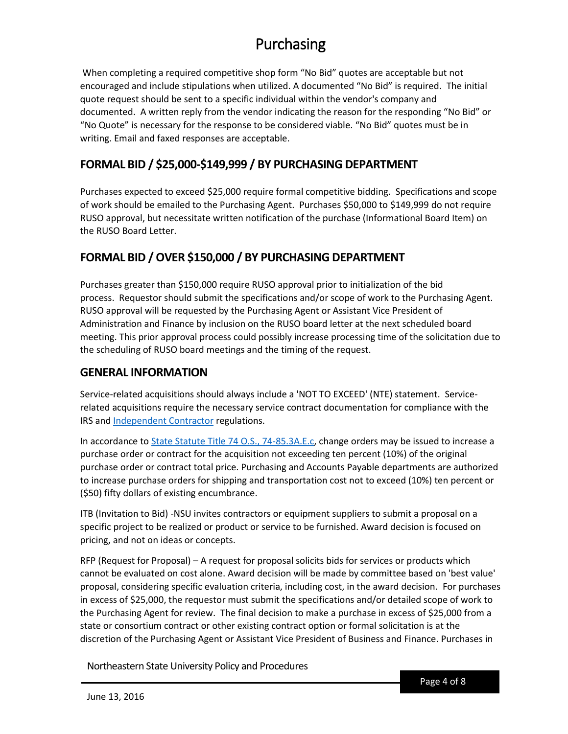When completing a required competitive shop form "No Bid" quotes are acceptable but not encouraged and include stipulations when utilized. A documented "No Bid" is required. The initial quote request should be sent to a specific individual within the vendor's company and documented. A written reply from the vendor indicating the reason for the responding "No Bid" or "No Quote" is necessary for the response to be considered viable. "No Bid" quotes must be in writing. Email and faxed responses are acceptable.

## **FORMAL BID / \$25,000-\$149,999 / BY PURCHASING DEPARTMENT**

Purchases expected to exceed \$25,000 require formal competitive bidding. Specifications and scope of work should be emailed to the Purchasing Agent. Purchases \$50,000 to \$149,999 do not require RUSO approval, but necessitate written notification of the purchase (Informational Board Item) on the RUSO Board Letter.

## **FORMAL BID / OVER \$150,000 / BY PURCHASING DEPARTMENT**

Purchases greater than \$150,000 require RUSO approval prior to initialization of the bid process. Requestor should submit the specifications and/or scope of work to the Purchasing Agent. RUSO approval will be requested by the Purchasing Agent or Assistant Vice President of Administration and Finance by inclusion on the RUSO board letter at the next scheduled board meeting. This prior approval process could possibly increase processing time of the solicitation due to the scheduling of RUSO board meetings and the timing of the request.

### **GENERAL INFORMATION**

Service-related acquisitions should always include a 'NOT TO EXCEED' (NTE) statement. Servicerelated acquisitions require the necessary service contract documentation for compliance with the IRS and [Independent Contractor](http://www.uco.edu/administration/pur-pay-trav/_purchasing/purchasing-policies-guidelines.asp#8) regulations.

In accordance to [State Statute Title 74 O.S., 74-85.3A.E.c,](http://www.uco.edu/administration/pur-pay-trav/files/files-pur-forms-docs/ok-statute74.pdf) change orders may be issued to increase a purchase order or contract for the acquisition not exceeding ten percent (10%) of the original purchase order or contract total price. Purchasing and Accounts Payable departments are authorized to increase purchase orders for shipping and transportation cost not to exceed (10%) ten percent or (\$50) fifty dollars of existing encumbrance.

ITB (Invitation to Bid) -NSU invites contractors or equipment suppliers to submit a proposal on a specific project to be realized or product or service to be furnished. Award decision is focused on pricing, and not on ideas or concepts.

RFP (Request for Proposal) – A request for proposal solicits bids for services or products which cannot be evaluated on cost alone. Award decision will be made by committee based on 'best value' proposal, considering specific evaluation criteria, including cost, in the award decision. For purchases in excess of \$25,000, the requestor must submit the specifications and/or detailed scope of work to the Purchasing Agent for review. The final decision to make a purchase in excess of \$25,000 from a state or consortium contract or other existing contract option or formal solicitation is at the discretion of the Purchasing Agent or Assistant Vice President of Business and Finance. Purchases in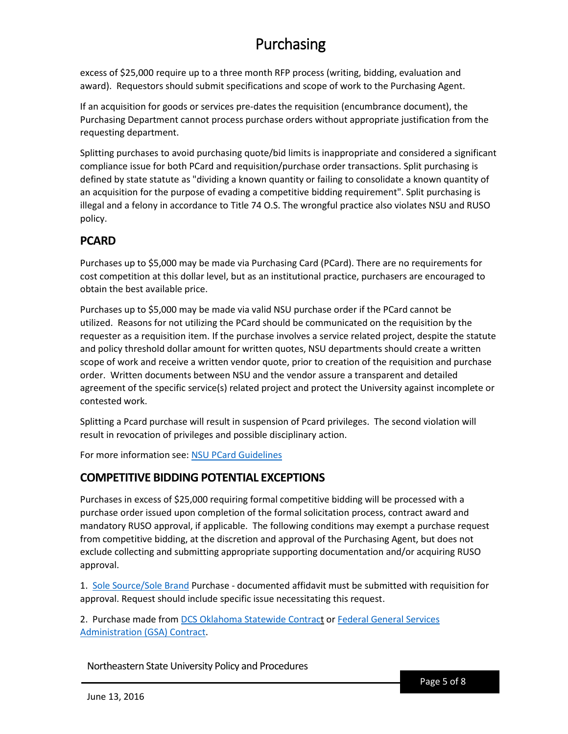excess of \$25,000 require up to a three month RFP process (writing, bidding, evaluation and award). Requestors should submit specifications and scope of work to the Purchasing Agent.

If an acquisition for goods or services pre-dates the requisition (encumbrance document), the Purchasing Department cannot process purchase orders without appropriate justification from the requesting department.

Splitting purchases to avoid purchasing quote/bid limits is inappropriate and considered a significant compliance issue for both PCard and requisition/purchase order transactions. Split purchasing is defined by state statute as "dividing a known quantity or failing to consolidate a known quantity of an acquisition for the purpose of evading a competitive bidding requirement". Split purchasing is illegal and a felony in accordance to Title 74 O.S. The wrongful practice also violates NSU and RUSO policy.

### **PCARD**

Purchases up to \$5,000 may be made via Purchasing Card (PCard). There are no requirements for cost competition at this dollar level, but as an institutional practice, purchasers are encouraged to obtain the best available price.

Purchases up to \$5,000 may be made via valid NSU purchase order if the PCard cannot be utilized. Reasons for not utilizing the PCard should be communicated on the requisition by the requester as a requisition item. If the purchase involves a service related project, despite the statute and policy threshold dollar amount for written quotes, NSU departments should create a written scope of work and receive a written vendor quote, prior to creation of the requisition and purchase order. Written documents between NSU and the vendor assure a transparent and detailed agreement of the specific service(s) related project and protect the University against incomplete or contested work.

Splitting a Pcard purchase will result in suspension of Pcard privileges. The second violation will result in revocation of privileges and possible disciplinary action.

For more information see: [NSU PCard Guidelines](https://offices.nsuok.edu/Portals/23/Business%20Affairs%20Forms/Purchasing%20Card%20Policy%20and%20Agreement.pdf)

## **COMPETITIVE BIDDING POTENTIAL EXCEPTIONS**

Purchases in excess of \$25,000 requiring formal competitive bidding will be processed with a purchase order issued upon completion of the formal solicitation process, contract award and mandatory RUSO approval, if applicable. The following conditions may exempt a purchase request from competitive bidding, at the discretion and approval of the Purchasing Agent, but does not exclude collecting and submitting appropriate supporting documentation and/or acquiring RUSO approval.

1. [Sole Source/Sole Brand](http://procedures.nsuok.edu/Portals/6/Forms/Sole-Source-Acquisition.pdf) Purchase - documented affidavit must be submitted with requisition for approval. Request should include specific issue necessitating this request.

2. Purchase made from [DCS Oklahoma Statewide](https://www.ok.gov/dcs/solicit/app/contractSearch.php) Contract or [Federal General Services](http://www.uco.edu/administration/pur-pay-trav/redirects/redirect-gsa-contracts.asp)  [Administration \(GSA\)](http://www.uco.edu/administration/pur-pay-trav/redirects/redirect-gsa-contracts.asp) Contract.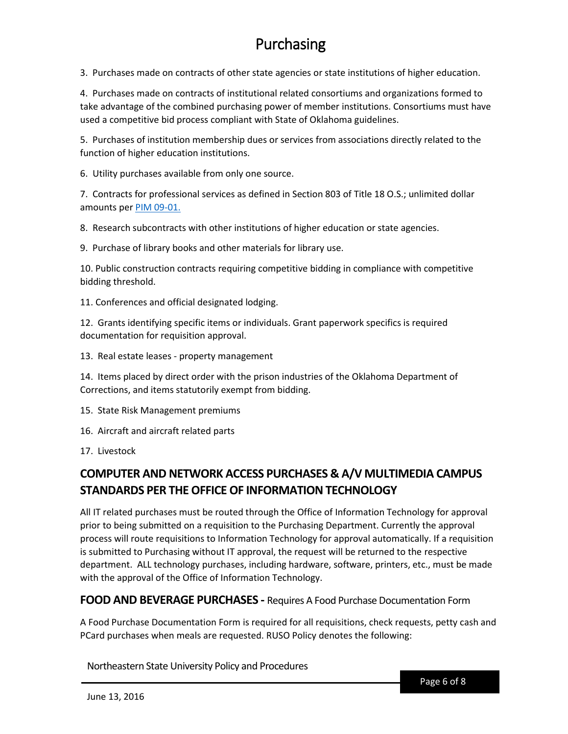3. Purchases made on contracts of other state agencies or state institutions of higher education.

4. Purchases made on contracts of institutional related consortiums and organizations formed to take advantage of the combined purchasing power of member institutions. Consortiums must have used a competitive bid process compliant with State of Oklahoma guidelines.

5. Purchases of institution membership dues or services from associations directly related to the function of higher education institutions.

6. Utility purchases available from only one source.

7. Contracts for professional services as defined in Section 803 of Title 18 O.S.; unlimited dollar amounts per [PIM 09-01.](https://www.ok.gov/dcs/searchdocs/app/manage_documents.php?att_id=2687)

8. Research subcontracts with other institutions of higher education or state agencies.

9. Purchase of library books and other materials for library use.

10. Public construction contracts requiring competitive bidding in compliance with competitive bidding threshold.

11. Conferences and official designated lodging.

12. Grants identifying specific items or individuals. Grant paperwork specifics is required documentation for requisition approval.

13. Real estate leases - property management

14. Items placed by direct order with the prison industries of the Oklahoma Department of Corrections, and items statutorily exempt from bidding.

15. State Risk Management premiums

16. Aircraft and aircraft related parts

17. Livestock

## **COMPUTER AND NETWORK ACCESS PURCHASES & A/V MULTIMEDIA CAMPUS STANDARDS PER THE OFFICE OF INFORMATION TECHNOLOGY**

All IT related purchases must be routed through the Office of Information Technology for approval prior to being submitted on a requisition to the Purchasing Department. Currently the approval process will route requisitions to Information Technology for approval automatically. If a requisition is submitted to Purchasing without IT approval, the request will be returned to the respective department. ALL technology purchases, including hardware, software, printers, etc., must be made with the approval of the Office of Information Technology.

#### **FOOD AND BEVERAGE PURCHASES -** Requires A Food Purchase Documentation Form

A Food Purchase Documentation Form is required for all requisitions, check requests, petty cash and PCard purchases when meals are requested. RUSO Policy denotes the following: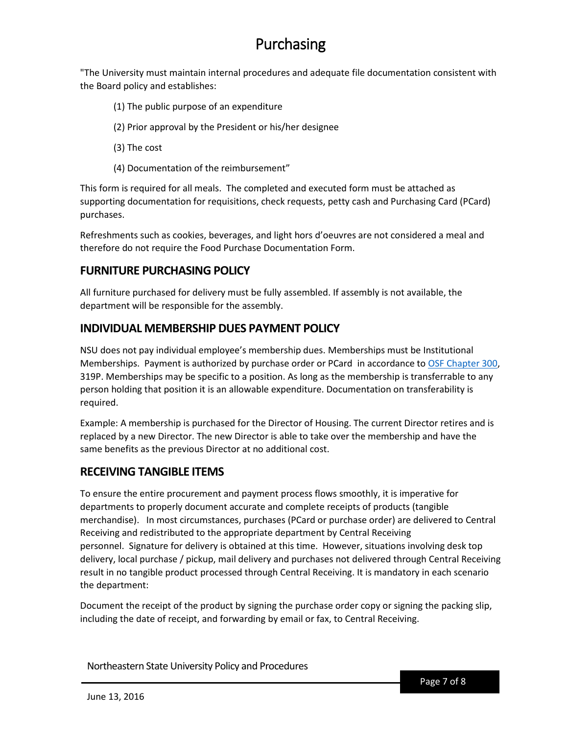"The University must maintain internal procedures and adequate file documentation consistent with the Board policy and establishes:

- (1) The public purpose of an expenditure
- (2) Prior approval by the President or his/her designee
- (3) The cost
- (4) Documentation of the reimbursement"

This form is required for all meals. The completed and executed form must be attached as supporting documentation for requisitions, check requests, petty cash and Purchasing Card (PCard) purchases.

Refreshments such as cookies, beverages, and light hors d'oeuvres are not considered a meal and therefore do not require the Food Purchase Documentation Form.

### **FURNITURE PURCHASING POLICY**

All furniture purchased for delivery must be fully assembled. If assembly is not available, the department will be responsible for the assembly.

### **INDIVIDUAL MEMBERSHIP DUES PAYMENT POLICY**

NSU does not pay individual employee's membership dues. Memberships must be Institutional Memberships. Payment is authorized by purchase order or PCard in accordance t[o OSF Chapter 300,](http://www.uco.edu/administration/pur-pay-trav/files/files-pay-forms-docs/ok-office-state-finance-ch300.pdf) 319P. Memberships may be specific to a position. As long as the membership is transferrable to any person holding that position it is an allowable expenditure. Documentation on transferability is required.

Example: A membership is purchased for the Director of Housing. The current Director retires and is replaced by a new Director. The new Director is able to take over the membership and have the same benefits as the previous Director at no additional cost.

### **RECEIVING TANGIBLE ITEMS**

To ensure the entire procurement and payment process flows smoothly, it is imperative for departments to properly document accurate and complete receipts of products (tangible merchandise). In most circumstances, purchases (PCard or purchase order) are delivered to Central Receiving and redistributed to the appropriate department by Central Receiving personnel. Signature for delivery is obtained at this time. However, situations involving desk top delivery, local purchase / pickup, mail delivery and purchases not delivered through Central Receiving result in no tangible product processed through Central Receiving. It is mandatory in each scenario the department:

Document the receipt of the product by signing the purchase order copy or signing the packing slip, including the date of receipt, and forwarding by email or fax, to Central Receiving.